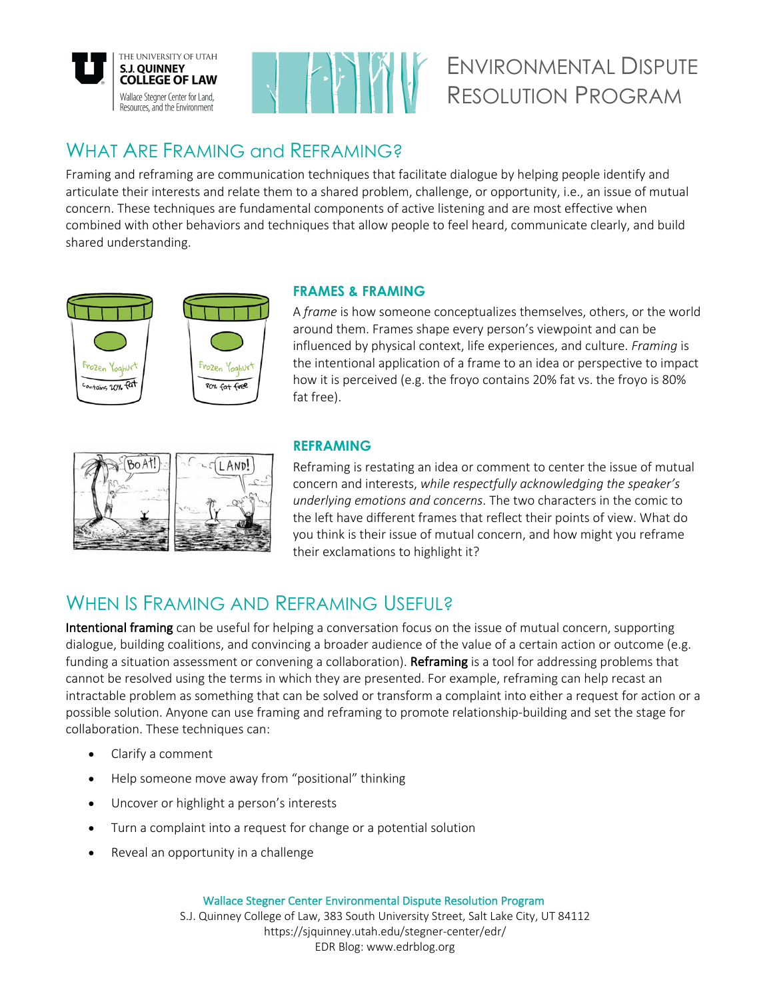



# ENVIRONMENTAL DISPUTE RESOLUTION PROGRAM

## WHAT ARE FRAMING and REFRAMING?

Framing and reframing are communication techniques that facilitate dialogue by helping people identify and articulate their interests and relate them to a shared problem, challenge, or opportunity, i.e., an issue of mutual concern. These techniques are fundamental components of active listening and are most effective when combined with other behaviors and techniques that allow people to feel heard, communicate clearly, and build shared understanding.



### **FRAMES & FRAMING**

A *frame* is how someone conceptualizes themselves, others, or the world around them. Frames shape every person's viewpoint and can be influenced by physical context, life experiences, and culture. *Framing* is the intentional application of a frame to an idea or perspective to impact how it is perceived (e.g. the froyo contains 20% fat vs. the froyo is 80% fat free).



#### **REFRAMING**

Reframing is restating an idea or comment to center the issue of mutual concern and interests, *while respectfully acknowledging the speaker's underlying emotions and concerns*. The two characters in the comic to the left have different frames that reflect their points of view. What do you think is their issue of mutual concern, and how might you reframe their exclamations to highlight it?

# WHEN IS FRAMING AND REFRAMING USEFUL?

Intentional framing can be useful for helping a conversation focus on the issue of mutual concern, supporting dialogue, building coalitions, and convincing a broader audience of the value of a certain action or outcome (e.g. funding a situation assessment or convening a collaboration). Reframing is a tool for addressing problems that cannot be resolved using the terms in which they are presented. For example, reframing can help recast an intractable problem as something that can be solved or transform a complaint into either a request for action or a possible solution. Anyone can use framing and reframing to promote relationship-building and set the stage for collaboration. These techniques can:

- Clarify a comment
- Help someone move away from "positional" thinking
- Uncover or highlight a person's interests
- Turn a complaint into a request for change or a potential solution
- Reveal an opportunity in a challenge

Wallace Stegner Center Environmental Dispute Resolution Program

S.J. Quinney College of Law, 383 South University Street, Salt Lake City, UT 84112 https://sjquinney.utah.edu/stegner-center/edr/ EDR Blog: www.edrblog.org